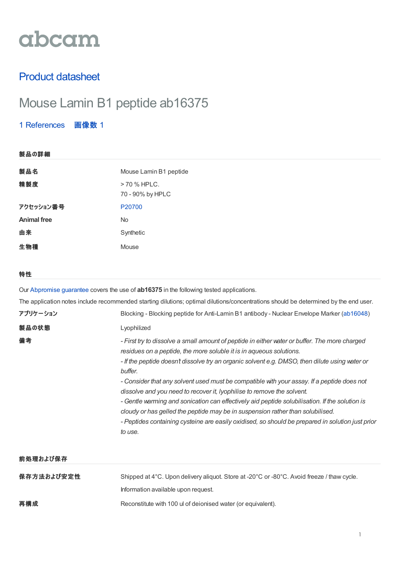# abcam

### Product datasheet

## Mouse Lamin B1 peptide ab16375

1 [References](https://www.abcam.co.jp/mouse-lamin-b1-peptide-ab16375.html#description_references) 画像数 1

| 製品の詳細              |                                                                                                                                                                                                                                                                                   |
|--------------------|-----------------------------------------------------------------------------------------------------------------------------------------------------------------------------------------------------------------------------------------------------------------------------------|
| 製品名                | Mouse Lamin B1 peptide                                                                                                                                                                                                                                                            |
| 精製度                | > 70 % HPLC.<br>70 - 90% by HPLC                                                                                                                                                                                                                                                  |
| アクセッション番号          | P20700                                                                                                                                                                                                                                                                            |
| <b>Animal free</b> | <b>No</b>                                                                                                                                                                                                                                                                         |
| 由来                 | Synthetic                                                                                                                                                                                                                                                                         |
| 生物種                | Mouse                                                                                                                                                                                                                                                                             |
|                    |                                                                                                                                                                                                                                                                                   |
| 特性                 |                                                                                                                                                                                                                                                                                   |
|                    | Our Abpromise guarantee covers the use of <b>ab16375</b> in the following tested applications.                                                                                                                                                                                    |
|                    | The application notes include recommended starting dilutions; optimal dilutions/concentrations should be determined by the end user.                                                                                                                                              |
| アプリケーション           | Blocking - Blocking peptide for Anti-Lamin B1 antibody - Nuclear Envelope Marker (ab16048)                                                                                                                                                                                        |
| 製品の状態              | Lyophilized                                                                                                                                                                                                                                                                       |
| 備考                 | - First try to dissolve a small amount of peptide in either water or buffer. The more charged<br>residues on a peptide, the more soluble it is in aqueous solutions.<br>- If the peptide doesn't dissolve try an organic solvent e.g. DMSO, then dilute using water or<br>buffer. |
|                    |                                                                                                                                                                                                                                                                                   |

*- Consider that any solvent used must be compatible with your assay. If a peptide does not dissolve and you need to recover it, lyophilise to remove the solvent.*

*- Gentle warming and sonication can effectively aid peptide solubilisation. If the solution is cloudy or has gelled the peptide may be in suspension rather than solubilised.*

*- Peptides containing cysteine are easily oxidised, so should be prepared in solution just prior to use.*

#### 前処理および保存

| 保存方法および安定性 | Shipped at 4°C. Upon delivery aliguot. Store at -20°C or -80°C. Avoid freeze / thaw cycle. |
|------------|--------------------------------------------------------------------------------------------|
|            | Information available upon request.                                                        |
| 再構成        | Reconstitute with 100 ul of deionised water (or equivalent).                               |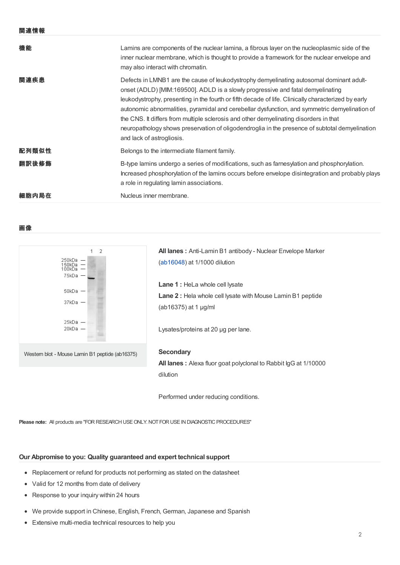|--|--|

| 機能    | Lamins are components of the nuclear lamina, a fibrous layer on the nucleoplasmic side of the<br>inner nuclear membrane, which is thought to provide a framework for the nuclear envelope and<br>may also interact with chromatin.                                                                                                                                                                                                                                                                                                                                                                          |
|-------|-------------------------------------------------------------------------------------------------------------------------------------------------------------------------------------------------------------------------------------------------------------------------------------------------------------------------------------------------------------------------------------------------------------------------------------------------------------------------------------------------------------------------------------------------------------------------------------------------------------|
| 関連疾患  | Defects in LMNB1 are the cause of leukodystrophy demyelinating autosomal dominant adult-<br>onset (ADLD) [MIM:169500]. ADLD is a slowly progressive and fatal demyelinating<br>leukodystrophy, presenting in the fourth or fifth decade of life. Clinically characterized by early<br>autonomic abnormalities, pyramidal and cerebellar dysfunction, and symmetric demyelination of<br>the CNS. It differs from multiple sclerosis and other demyelinating disorders in that<br>neuropathology shows preservation of oligodendroglia in the presence of subtotal demyelination<br>and lack of astrogliosis. |
| 配列類似性 | Belongs to the intermediate filament family.                                                                                                                                                                                                                                                                                                                                                                                                                                                                                                                                                                |
| 翻訳後修飾 | B-type lamins undergo a series of modifications, such as farnesylation and phosphorylation.<br>Increased phosphorylation of the lamins occurs before envelope disintegration and probably plays<br>a role in regulating lamin associations.                                                                                                                                                                                                                                                                                                                                                                 |
| 細胞内局在 | Nucleus inner membrane.                                                                                                                                                                                                                                                                                                                                                                                                                                                                                                                                                                                     |

#### 画像



**All lanes :** Anti-Lamin B1 antibody - Nuclear Envelope Marker ([ab16048](https://www.abcam.co.jp/ab16048.html)) at 1/1000 dilution **Lane 1 :** HeLa whole cell lysate **Lane 2 :** Hela whole cell lysate with Mouse Lamin B1 peptide

Lysates/proteins at 20 µg per lane.

(ab16375) at 1 µg/ml

#### **Secondary**

**All lanes :** Alexa fluor goat polyclonal to Rabbit IgG at 1/10000 dilution

Performed under reducing conditions.

Please note: All products are "FOR RESEARCH USE ONLY. NOT FOR USE IN DIAGNOSTIC PROCEDURES"

#### **Our Abpromise to you: Quality guaranteed and expert technical support**

- Replacement or refund for products not performing as stated on the datasheet
- Valid for 12 months from date of delivery
- Response to your inquiry within 24 hours
- We provide support in Chinese, English, French, German, Japanese and Spanish
- Extensive multi-media technical resources to help you